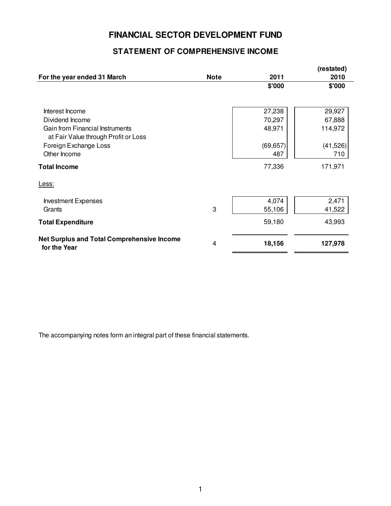## **FINANCIAL SECTOR DEVELOPMENT FUND**

## **STATEMENT OF COMPREHENSIVE INCOME**

|                                                                         |             |                  | (restated)       |
|-------------------------------------------------------------------------|-------------|------------------|------------------|
| For the year ended 31 March                                             | <b>Note</b> | 2011             | 2010             |
|                                                                         |             | \$'000           | \$'000           |
| Interest Income<br>Dividend Income                                      |             | 27,238<br>70,297 | 29,927<br>67,888 |
| Gain from Financial Instruments<br>at Fair Value through Profit or Loss |             | 48,971           | 114,972          |
| Foreign Exchange Loss                                                   |             | (69, 657)        | (41,526)         |
| Other Income                                                            |             | 487              | 710              |
| <b>Total Income</b>                                                     |             | 77,336           | 171,971          |
| Less:                                                                   |             |                  |                  |
| <b>Investment Expenses</b>                                              |             | 4,074            | 2,471            |
| Grants                                                                  | 3           | 55,106           | 41,522           |
| <b>Total Expenditure</b>                                                |             | 59,180           | 43,993           |
| <b>Net Surplus and Total Comprehensive Income</b><br>for the Year       | 4           | 18,156           | 127,978          |

The accompanying notes form an integral part of these financial statements.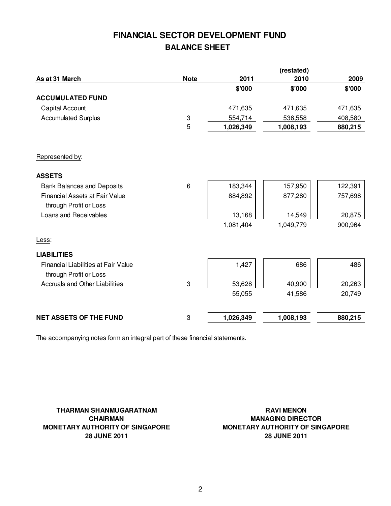# **FINANCIAL SECTOR DEVELOPMENT FUND BALANCE SHEET**

|                                                                      |             |           | (restated) |         |
|----------------------------------------------------------------------|-------------|-----------|------------|---------|
| As at 31 March                                                       | <b>Note</b> | 2011      | 2010       | 2009    |
|                                                                      |             | \$'000    | \$'000     | \$'000  |
| <b>ACCUMULATED FUND</b>                                              |             |           |            |         |
| Capital Account                                                      |             | 471,635   | 471,635    | 471,635 |
| <b>Accumulated Surplus</b>                                           | 3           | 554,714   | 536,558    | 408,580 |
|                                                                      | 5           | 1,026,349 | 1,008,193  | 880,215 |
| Represented by:                                                      |             |           |            |         |
| <b>ASSETS</b>                                                        |             |           |            |         |
| <b>Bank Balances and Deposits</b>                                    | 6           | 183,344   | 157,950    | 122,391 |
| <b>Financial Assets at Fair Value</b>                                |             | 884,892   | 877,280    | 757,698 |
| through Profit or Loss                                               |             |           |            |         |
| Loans and Receivables                                                |             | 13,168    | 14,549     | 20,875  |
|                                                                      |             | 1,081,404 | 1,049,779  | 900,964 |
| Less:                                                                |             |           |            |         |
| <b>LIABILITIES</b>                                                   |             |           |            |         |
| <b>Financial Liabilities at Fair Value</b><br>through Profit or Loss |             | 1,427     | 686        | 486     |
| Accruals and Other Liabilities                                       | 3           | 53,628    | 40,900     | 20,263  |
|                                                                      |             | 55,055    | 41,586     | 20,749  |
|                                                                      |             |           |            | 880,215 |
| <b>NET ASSETS OF THE FUND</b>                                        | 3           | 1,026,349 | 1,008,193  |         |

The accompanying notes form an integral part of these financial statements.

**THARMAN SHANMUGARATNAM CHAIRMAN MONETARY AUTHORITY OF SINGAPORE 28 JUNE 2011**

**RAVI MENON MANAGING DIRECTOR MONETARY AUTHORITY OF SINGAPORE 28 JUNE 2011**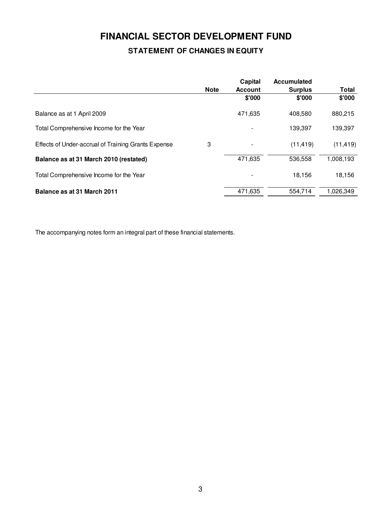# **FINANCIAL SECTOR DEVELOPMENT FUND STATEMENT OF CHANGES IN EQUITY**

|                                                     | <b>Note</b> | Capital<br><b>Account</b> | <b>Accumulated</b><br><b>Surplus</b> | <b>Total</b> |
|-----------------------------------------------------|-------------|---------------------------|--------------------------------------|--------------|
|                                                     |             | \$'000                    | \$'000                               | \$'000       |
| Balance as at 1 April 2009                          |             | 471,635                   | 408.580                              | 880,215      |
| Total Comprehensive Income for the Year             |             |                           | 139,397                              | 139,397      |
| Effects of Under-accrual of Training Grants Expense | 3           |                           | (11, 419)                            | (11, 419)    |
| Balance as at 31 March 2010 (restated)              |             | 471,635                   | 536,558                              | 1,008,193    |
| Total Comprehensive Income for the Year             |             |                           | 18,156                               | 18,156       |
| Balance as at 31 March 2011                         |             | 471,635                   | 554,714                              | 1,026,349    |

The accompanying notes form an integral part of these financial statements.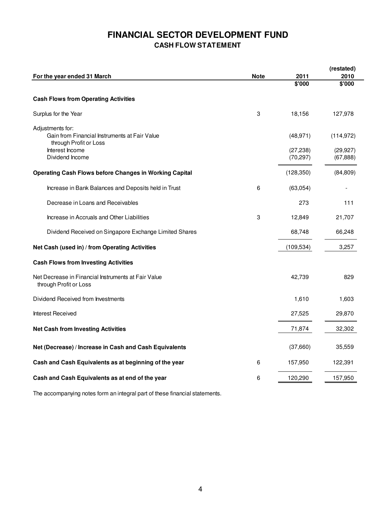## **FINANCIAL SECTOR DEVELOPMENT FUND CASH FLOW STATEMENT**

|                                                                               |             |            | (restated) |
|-------------------------------------------------------------------------------|-------------|------------|------------|
| For the year ended 31 March                                                   | <b>Note</b> | 2011       | 2010       |
|                                                                               |             | \$'000     | \$'000     |
| <b>Cash Flows from Operating Activities</b>                                   |             |            |            |
| Surplus for the Year                                                          | 3           | 18,156     | 127,978    |
| Adjustments for:                                                              |             |            |            |
| Gain from Financial Instruments at Fair Value<br>through Profit or Loss       |             | (48, 971)  | (114, 972) |
| Interest Income                                                               |             | (27, 238)  | (29, 927)  |
| Dividend Income                                                               |             | (70, 297)  | (67, 888)  |
| <b>Operating Cash Flows before Changes in Working Capital</b>                 |             | (128, 350) | (84, 809)  |
| Increase in Bank Balances and Deposits held in Trust                          | 6           | (63,054)   |            |
| Decrease in Loans and Receivables                                             |             | 273        | 111        |
| Increase in Accruals and Other Liabilities                                    | 3           | 12,849     | 21,707     |
| Dividend Received on Singapore Exchange Limited Shares                        |             | 68,748     | 66,248     |
| Net Cash (used in) / from Operating Activities                                |             | (109, 534) | 3,257      |
| <b>Cash Flows from Investing Activities</b>                                   |             |            |            |
| Net Decrease in Financial Instruments at Fair Value<br>through Profit or Loss |             | 42,739     | 829        |
| Dividend Received from Investments                                            |             | 1,610      | 1,603      |
| Interest Received                                                             |             | 27,525     | 29,870     |
| <b>Net Cash from Investing Activities</b>                                     |             | 71,874     | 32,302     |
| Net (Decrease) / Increase in Cash and Cash Equivalents                        |             | (37,660)   | 35,559     |
| Cash and Cash Equivalents as at beginning of the year                         | 6           | 157,950    | 122,391    |
| Cash and Cash Equivalents as at end of the year                               | 6           | 120,290    | 157,950    |

The accompanying notes form an integral part of these financial statements.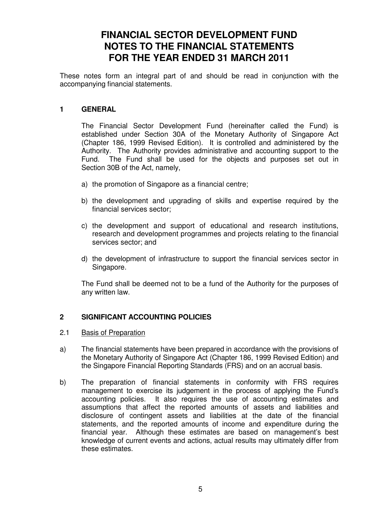# **FINANCIAL SECTOR DEVELOPMENT FUND NOTES TO THE FINANCIAL STATEMENTS FOR THE YEAR ENDED 31 MARCH 2011**

These notes form an integral part of and should be read in conjunction with the accompanying financial statements.

#### **1 GENERAL**

 The Financial Sector Development Fund (hereinafter called the Fund) is established under Section 30A of the Monetary Authority of Singapore Act (Chapter 186, 1999 Revised Edition). It is controlled and administered by the Authority. The Authority provides administrative and accounting support to the Fund. The Fund shall be used for the objects and purposes set out in Section 30B of the Act, namely,

- a) the promotion of Singapore as a financial centre;
- b) the development and upgrading of skills and expertise required by the financial services sector;
- c) the development and support of educational and research institutions, research and development programmes and projects relating to the financial services sector; and
- d) the development of infrastructure to support the financial services sector in Singapore.

The Fund shall be deemed not to be a fund of the Authority for the purposes of any written law.

### **2 SIGNIFICANT ACCOUNTING POLICIES**

- 2.1 Basis of Preparation
- a) The financial statements have been prepared in accordance with the provisions of the Monetary Authority of Singapore Act (Chapter 186, 1999 Revised Edition) and the Singapore Financial Reporting Standards (FRS) and on an accrual basis.
- b) The preparation of financial statements in conformity with FRS requires management to exercise its judgement in the process of applying the Fund's accounting policies. It also requires the use of accounting estimates and assumptions that affect the reported amounts of assets and liabilities and disclosure of contingent assets and liabilities at the date of the financial statements, and the reported amounts of income and expenditure during the financial year. Although these estimates are based on management's best knowledge of current events and actions, actual results may ultimately differ from these estimates.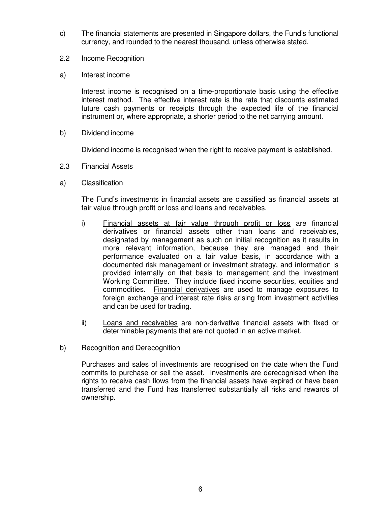c) The financial statements are presented in Singapore dollars, the Fund's functional currency, and rounded to the nearest thousand, unless otherwise stated.

#### 2.2 Income Recognition

a) Interest income

 Interest income is recognised on a time-proportionate basis using the effective interest method. The effective interest rate is the rate that discounts estimated future cash payments or receipts through the expected life of the financial instrument or, where appropriate, a shorter period to the net carrying amount.

b) Dividend income

Dividend income is recognised when the right to receive payment is established.

- 2.3 Financial Assets
- a) Classification

The Fund's investments in financial assets are classified as financial assets at fair value through profit or loss and loans and receivables.

- i) Financial assets at fair value through profit or loss are financial derivatives or financial assets other than loans and receivables, designated by management as such on initial recognition as it results in more relevant information, because they are managed and their performance evaluated on a fair value basis, in accordance with a documented risk management or investment strategy, and information is provided internally on that basis to management and the Investment Working Committee. They include fixed income securities, equities and commodities. Financial derivatives are used to manage exposures to foreign exchange and interest rate risks arising from investment activities and can be used for trading.
- ii) Loans and receivables are non-derivative financial assets with fixed or determinable payments that are not quoted in an active market.
- b) Recognition and Derecognition

Purchases and sales of investments are recognised on the date when the Fund commits to purchase or sell the asset. Investments are derecognised when the rights to receive cash flows from the financial assets have expired or have been transferred and the Fund has transferred substantially all risks and rewards of ownership.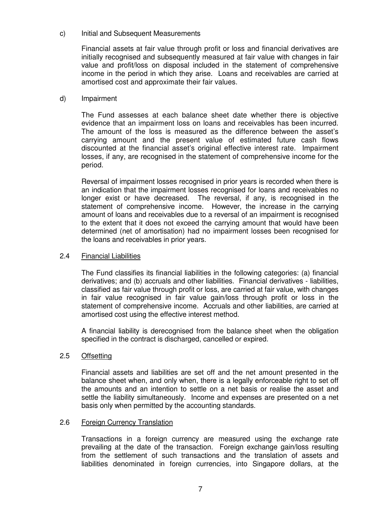#### c) Initial and Subsequent Measurements

Financial assets at fair value through profit or loss and financial derivatives are initially recognised and subsequently measured at fair value with changes in fair value and profit/loss on disposal included in the statement of comprehensive income in the period in which they arise. Loans and receivables are carried at amortised cost and approximate their fair values.

#### d) Impairment

The Fund assesses at each balance sheet date whether there is objective evidence that an impairment loss on loans and receivables has been incurred. The amount of the loss is measured as the difference between the asset's carrying amount and the present value of estimated future cash flows discounted at the financial asset's original effective interest rate. Impairment losses, if any, are recognised in the statement of comprehensive income for the period.

 Reversal of impairment losses recognised in prior years is recorded when there is an indication that the impairment losses recognised for loans and receivables no longer exist or have decreased. The reversal, if any, is recognised in the statement of comprehensive income. However, the increase in the carrying amount of loans and receivables due to a reversal of an impairment is recognised to the extent that it does not exceed the carrying amount that would have been determined (net of amortisation) had no impairment losses been recognised for the loans and receivables in prior years.

#### 2.4 Financial Liabilities

The Fund classifies its financial liabilities in the following categories: (a) financial derivatives; and (b) accruals and other liabilities. Financial derivatives - liabilities, classified as fair value through profit or loss, are carried at fair value, with changes in fair value recognised in fair value gain/loss through profit or loss in the statement of comprehensive income. Accruals and other liabilities, are carried at amortised cost using the effective interest method.

A financial liability is derecognised from the balance sheet when the obligation specified in the contract is discharged, cancelled or expired.

#### 2.5 Offsetting

Financial assets and liabilities are set off and the net amount presented in the balance sheet when, and only when, there is a legally enforceable right to set off the amounts and an intention to settle on a net basis or realise the asset and settle the liability simultaneously. Income and expenses are presented on a net basis only when permitted by the accounting standards.

#### 2.6 Foreign Currency Translation

Transactions in a foreign currency are measured using the exchange rate prevailing at the date of the transaction. Foreign exchange gain/loss resulting from the settlement of such transactions and the translation of assets and liabilities denominated in foreign currencies, into Singapore dollars, at the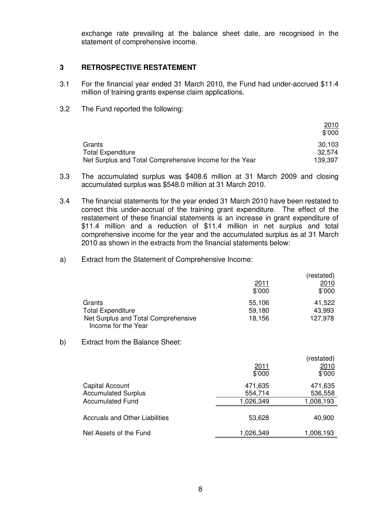exchange rate prevailing at the balance sheet date, are recognised in the statement of comprehensive income.

#### **3 RETROSPECTIVE RESTATEMENT**

- 3.1 For the financial year ended 31 March 2010, the Fund had under-accrued \$11.4 million of training grants expense claim applications.
- 3.2 The Fund reported the following:

|                                                         | 2010<br>\$'000 |
|---------------------------------------------------------|----------------|
| Grants                                                  | 30,103         |
| <b>Total Expenditure</b>                                | 32.574         |
| Net Surplus and Total Comprehensive Income for the Year | 139,397        |

- 3.3 The accumulated surplus was \$408.6 million at 31 March 2009 and closing accumulated surplus was \$548.0 million at 31 March 2010.
- 3.4 The financial statements for the year ended 31 March 2010 have been restated to correct this under-accrual of the training grant expenditure. The effect of the restatement of these financial statements is an increase in grant expenditure of \$11.4 million and a reduction of \$11.4 million in net surplus and total comprehensive income for the year and the accumulated surplus as at 31 March 2010 as shown in the extracts from the financial statements below:
- a) Extract from the Statement of Comprehensive Income:

|                                                            | 2011<br>\$'000 | (restated)<br>2010<br>\$'000 |
|------------------------------------------------------------|----------------|------------------------------|
| Grants                                                     | 55,106         | 41,522                       |
| <b>Total Expenditure</b>                                   | 59,180         | 43,993                       |
| Net Surplus and Total Comprehensive<br>Income for the Year | 18,156         | 127,978                      |

b) Extract from the Balance Sheet:

|                                |           | (restated) |
|--------------------------------|-----------|------------|
|                                | 2011      | 2010       |
|                                | \$'000    | \$'000     |
| Capital Account                | 471,635   | 471,635    |
| <b>Accumulated Surplus</b>     | 554,714   | 536,558    |
| <b>Accumulated Fund</b>        | 1,026,349 | 1,008,193  |
|                                |           |            |
| Accruals and Other Liabilities | 53,628    | 40,900     |
|                                |           |            |
| Net Assets of the Fund         | 1,026,349 | 1,008,193  |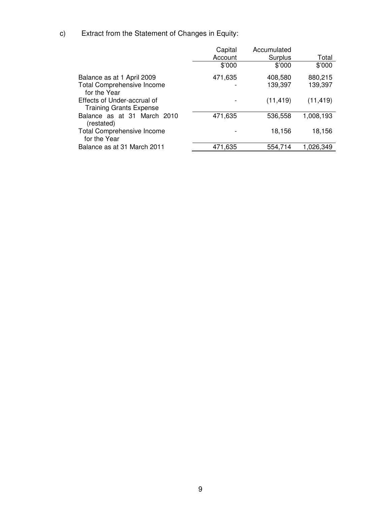c) Extract from the Statement of Changes in Equity:

|                                                               | Capital | Accumulated |           |
|---------------------------------------------------------------|---------|-------------|-----------|
|                                                               | Account | Surplus     | Total     |
|                                                               | \$'000  | \$'000      | \$'000    |
| Balance as at 1 April 2009                                    | 471,635 | 408,580     | 880,215   |
| <b>Total Comprehensive Income</b><br>for the Year             |         | 139,397     | 139,397   |
| Effects of Under-accrual of<br><b>Training Grants Expense</b> |         | (11, 419)   | (11, 419) |
| Balance as at 31 March 2010<br>(restated)                     | 471,635 | 536,558     | 1,008,193 |
| <b>Total Comprehensive Income</b><br>for the Year             |         | 18,156      | 18,156    |
| Balance as at 31 March 2011                                   | 471,635 | 554,714     | 1,026,349 |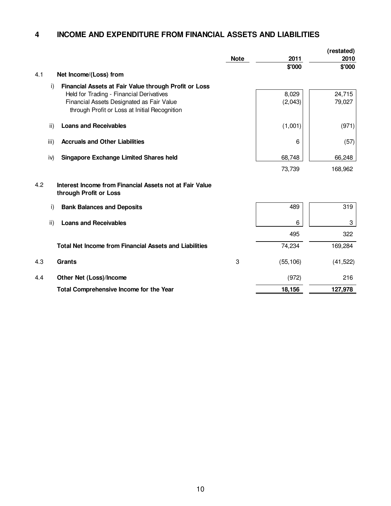#### **4 INCOME AND EXPENDITURE FROM FINANCIAL ASSETS AND LIABILITIES**

|     |      |                                                                                                                                                                                                 |             |                  | (restated)       |
|-----|------|-------------------------------------------------------------------------------------------------------------------------------------------------------------------------------------------------|-------------|------------------|------------------|
|     |      |                                                                                                                                                                                                 | <b>Note</b> | 2011             | 2010             |
|     |      |                                                                                                                                                                                                 |             | \$'000           | \$'000           |
| 4.1 |      | Net Income/(Loss) from                                                                                                                                                                          |             |                  |                  |
|     | i)   | Financial Assets at Fair Value through Profit or Loss<br>Held for Trading - Financial Derivatives<br>Financial Assets Designated as Fair Value<br>through Profit or Loss at Initial Recognition |             | 8,029<br>(2,043) | 24,715<br>79,027 |
|     | ii)  | <b>Loans and Receivables</b>                                                                                                                                                                    |             | (1,001)          | (971)            |
|     | iii) | <b>Accruals and Other Liabilities</b>                                                                                                                                                           |             | 6                | (57)             |
|     | iv)  | <b>Singapore Exchange Limited Shares held</b>                                                                                                                                                   |             | 68,748           | 66,248           |
|     |      |                                                                                                                                                                                                 |             | 73,739           | 168,962          |
| 4.2 |      | Interest Income from Financial Assets not at Fair Value<br>through Profit or Loss                                                                                                               |             |                  |                  |
|     | i)   | <b>Bank Balances and Deposits</b>                                                                                                                                                               |             | 489              | 319              |
|     | ii)  | <b>Loans and Receivables</b>                                                                                                                                                                    |             | 6                | 3                |
|     |      |                                                                                                                                                                                                 |             | 495              | 322              |
|     |      | <b>Total Net Income from Financial Assets and Liabilities</b>                                                                                                                                   |             | 74,234           | 169,284          |
| 4.3 |      | <b>Grants</b>                                                                                                                                                                                   | 3           | (55, 106)        | (41, 522)        |
| 4.4 |      | Other Net (Loss)/Income                                                                                                                                                                         |             | (972)            | 216              |
|     |      | Total Comprehensive Income for the Year                                                                                                                                                         |             | 18,156           | 127,978          |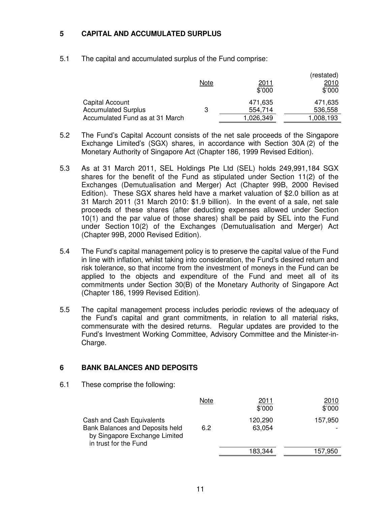### **5 CAPITAL AND ACCUMULATED SURPLUS**

5.1 The capital and accumulated surplus of the Fund comprise:

|                                               | Note | <u>2011</u><br>\$'000 | (restated)<br>2010<br>\$'000 |
|-----------------------------------------------|------|-----------------------|------------------------------|
| Capital Account<br><b>Accumulated Surplus</b> | 3    | 471.635<br>554,714    | 471,635<br>536,558           |
| Accumulated Fund as at 31 March               |      | 1,026,349             | 1,008,193                    |

- 5.2 The Fund's Capital Account consists of the net sale proceeds of the Singapore Exchange Limited's (SGX) shares, in accordance with Section 30A (2) of the Monetary Authority of Singapore Act (Chapter 186, 1999 Revised Edition).
- 5.3 As at 31 March 2011, SEL Holdings Pte Ltd (SEL) holds 249,991,184 SGX shares for the benefit of the Fund as stipulated under Section 11(2) of the Exchanges (Demutualisation and Merger) Act (Chapter 99B, 2000 Revised Edition). These SGX shares held have a market valuation of \$2.0 billion as at 31 March 2011 (31 March 2010: \$1.9 billion). In the event of a sale, net sale proceeds of these shares (after deducting expenses allowed under Section 10(1) and the par value of those shares) shall be paid by SEL into the Fund under Section 10(2) of the Exchanges (Demutualisation and Merger) Act (Chapter 99B, 2000 Revised Edition).
- 5.4 The Fund's capital management policy is to preserve the capital value of the Fund in line with inflation, whilst taking into consideration, the Fund's desired return and risk tolerance, so that income from the investment of moneys in the Fund can be applied to the objects and expenditure of the Fund and meet all of its commitments under Section 30(B) of the Monetary Authority of Singapore Act (Chapter 186, 1999 Revised Edition).
- 5.5 The capital management process includes periodic reviews of the adequacy of the Fund's capital and grant commitments, in relation to all material risks, commensurate with the desired returns. Regular updates are provided to the Fund's Investment Working Committee, Advisory Committee and the Minister-in-Charge.

## **6 BANK BALANCES AND DEPOSITS**

6.1 These comprise the following:

|                                                                                                                        | Note | 2011<br>\$'000    | 2010<br>\$'000 |
|------------------------------------------------------------------------------------------------------------------------|------|-------------------|----------------|
| Cash and Cash Equivalents<br>Bank Balances and Deposits held<br>by Singapore Exchange Limited<br>in trust for the Fund | 6.2  | 120,290<br>63,054 | 157,950        |
|                                                                                                                        |      | 183,344           | 157,950        |
|                                                                                                                        |      |                   |                |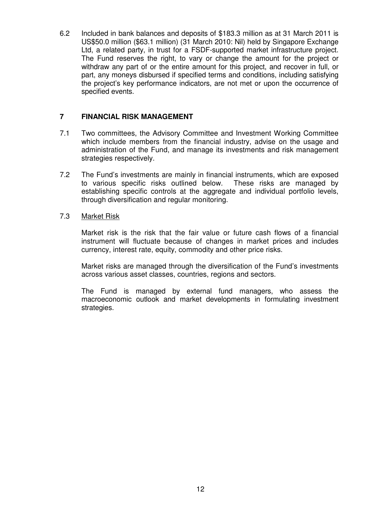6.2 Included in bank balances and deposits of \$183.3 million as at 31 March 2011 is US\$50.0 million (\$63.1 million) (31 March 2010: Nil) held by Singapore Exchange Ltd, a related party, in trust for a FSDF-supported market infrastructure project. The Fund reserves the right, to vary or change the amount for the project or withdraw any part of or the entire amount for this project, and recover in full, or part, any moneys disbursed if specified terms and conditions, including satisfying the project's key performance indicators, are not met or upon the occurrence of specified events.

### **7 FINANCIAL RISK MANAGEMENT**

- 7.1 Two committees, the Advisory Committee and Investment Working Committee which include members from the financial industry, advise on the usage and administration of the Fund, and manage its investments and risk management strategies respectively.
- 7.2 The Fund's investments are mainly in financial instruments, which are exposed to various specific risks outlined below. These risks are managed by establishing specific controls at the aggregate and individual portfolio levels, through diversification and regular monitoring.

#### 7.3 Market Risk

 Market risk is the risk that the fair value or future cash flows of a financial instrument will fluctuate because of changes in market prices and includes currency, interest rate, equity, commodity and other price risks.

Market risks are managed through the diversification of the Fund's investments across various asset classes, countries, regions and sectors.

The Fund is managed by external fund managers, who assess the macroeconomic outlook and market developments in formulating investment strategies.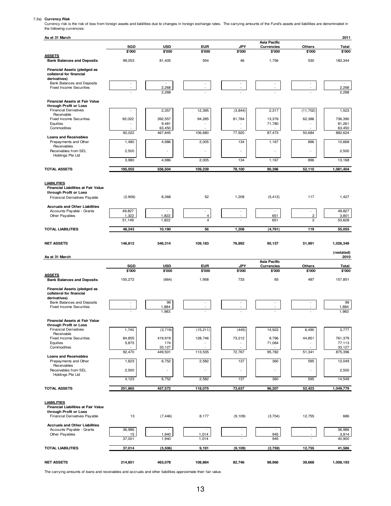7.3a) Currency Risk<br>Currency risk is the risk of loss from foreign assets and liabilities due to changes in foreign exchange rates. The carrying amounts of the Fund's assets and liabilities are denominated in<br>the following

| As at 31 March                                                     |                 |                          |             |                          |                                   |                     | 2011               |
|--------------------------------------------------------------------|-----------------|--------------------------|-------------|--------------------------|-----------------------------------|---------------------|--------------------|
|                                                                    | SGD             | <b>USD</b>               | <b>EUR</b>  | JPY                      | Asia Pacific<br><b>Currencies</b> | <b>Others</b>       | Total              |
| <b>ASSETS</b>                                                      | \$'000          | \$'000                   | \$'000      | \$'000                   | \$'000                            | \$'000              | \$'000             |
| <b>Bank Balances and Deposits</b>                                  | 99,053          | 81,405                   | 554         | 46                       | 1,756                             | 530                 | 183,344            |
| <b>Financial Assets (pledged as</b><br>collateral for financial    |                 |                          |             |                          |                                   |                     |                    |
| derivatives)<br>Bank Balances and Deposits                         |                 | $\overline{\phantom{a}}$ |             |                          |                                   |                     | $\sim$             |
| <b>Fixed Income Securities</b>                                     |                 | 2,268<br>2,268           |             |                          |                                   |                     | 2,268<br>2,268     |
|                                                                    |                 |                          |             |                          |                                   |                     |                    |
| <b>Financial Assets at Fair Value</b><br>through Profit or Loss    |                 |                          |             |                          |                                   |                     |                    |
| <b>Financial Derivatives</b><br>Receivable                         |                 | 2,357                    | 12,395      | (3,844)                  | 2,317                             | (11, 702)           | 1,523              |
| <b>Fixed Income Securities</b><br>Equities                         | 92,022          | 392.557<br>9,481         | 94,285      | 81,764                   | 13,376<br>71,780                  | 62,386              | 736,390<br>81,261  |
| Commodities                                                        | 92,022          | 63,450<br>467,845        | 106,680     | 77,920                   | 87,473                            | 50,684              | 63,450<br>882,624  |
| <b>Loans and Receivables</b><br>Prepayments and Other              | 1,480           | 4,986                    | 2,005       | 134                      | 1,167                             | 896                 | 10,668             |
| Receivables                                                        |                 |                          |             |                          |                                   |                     |                    |
| Receivables from SEL<br>Holdings Pte Ltd                           | 2,500           |                          |             | ×,                       | ÷,                                | ٠                   | 2,500              |
|                                                                    | 3,980           | 4,986                    | 2,005       | 134                      | 1,167                             | 896                 | 13,168             |
| <b>TOTAL ASSETS</b>                                                | 195,055         | 556,504                  | 109,239     | 78,100                   | 90,396                            | 52,110              | 1,081,404          |
| <b>LIABILITIES</b>                                                 |                 |                          |             |                          |                                   |                     |                    |
| Financial Liabilities at Fair Value                                |                 |                          |             |                          |                                   |                     |                    |
| through Profit or Loss<br>Financial Derivatives Payable            | (2,906)         | 8,368                    | 52          | 1,208                    | (5, 412)                          | 117                 | 1,427              |
| <b>Accruals and Other Liabilities</b>                              |                 |                          |             |                          |                                   |                     |                    |
| Accounts Payable - Grants<br>Other Payables                        | 49,827<br>1,322 | ٠<br>1,822               | $\sim$<br>4 |                          | $\sim$<br>651                     | ٠<br>$\overline{c}$ | 49,827<br>3,801    |
|                                                                    | 51,149          | 1,822                    | 4           |                          | 651                               | $\overline{2}$      | 53,628             |
| <b>TOTAL LIABILITIES</b>                                           | 48,243          | 10,190                   | 56          | 1,208                    | (4, 761)                          | 119                 | 55,055             |
| <b>NET ASSETS</b>                                                  | 146,812         | 546,314                  | 109,183     | 76,892                   | 95,157                            | 51,991              | 1,026,349          |
|                                                                    |                 |                          |             |                          |                                   |                     |                    |
|                                                                    |                 |                          |             |                          |                                   |                     |                    |
| As at 31 March                                                     |                 |                          |             |                          |                                   |                     | (restated)<br>2010 |
|                                                                    | SGD             | <b>USD</b>               | <b>EUR</b>  | JPY                      | Asia Pacific<br><b>Currencies</b> | Others              | <b>Total</b>       |
| <b>ASSETS</b>                                                      | \$'000          | \$'000                   | \$'000      | \$'000                   | \$'000                            | \$'000              | \$'000             |
| <b>Bank Balances and Deposits</b>                                  | 155,272         | (664)                    | 1,958       | 733                      | 65                                | 487                 | 157,851            |
| <b>Financial Assets (pledged as</b><br>collateral for financial    |                 |                          |             |                          |                                   |                     |                    |
| derivatives)<br><b>Bank Balances and Deposits</b>                  |                 | 99                       |             |                          |                                   |                     | 99                 |
| <b>Fixed Income Securities</b>                                     |                 | 1,884<br>1,983           |             |                          |                                   |                     | 1,884<br>1,983     |
|                                                                    |                 |                          |             |                          |                                   |                     |                    |
| Financial Assets at Fair Value<br>through Profit or Loss           |                 |                          |             |                          |                                   |                     |                    |
| <b>Financial Derivatives</b><br>Receivable                         | 1,740           | (3,719)                  | (15, 211)   | (445)                    | 14,922                            | 6,490               | 3,777              |
| <b>Fixed Income Securities</b><br>Equities                         | 84,855<br>5,875 | 419,919<br>174           | 128,746     | 73,212                   | 9,796<br>71,064                   | 44,851              | 761,379<br>77,113  |
| Commodities                                                        | 92,470          | 33,127<br>449,501        | 113,535     | 72,767                   | 95,782                            | 51,341              | 33,127<br>875,396  |
| <b>Loans and Receivables</b><br>Prepayments and Other              | 1,623           | 6,752                    | 2,582       | 137                      | 360                               | 595                 | 12,049             |
| Receivables<br>Receivables from SEL                                | 2,500           | i.                       |             | i.                       | ×,                                | ٠                   | 2,500              |
| Holdings Pte Ltd                                                   | 4,123           | 6,752                    | 2,582       | 137                      | 360                               | 595                 | 14,549             |
|                                                                    |                 |                          |             |                          |                                   |                     |                    |
| <b>TOTAL ASSETS</b>                                                | 251,865         | 457,572                  | 118,075     | 73,637                   | 96,207                            | 52,423              | 1,049,779          |
| <b>LIABILITIES</b>                                                 |                 |                          |             |                          |                                   |                     |                    |
| Financial Liabilities at Fair Value<br>through Profit or Loss      |                 |                          |             |                          |                                   |                     |                    |
| Financial Derivatives Payable                                      | 13              | (7, 446)                 | 8,177       | (9, 109)                 | (3,704)                           | 12,755              | 686                |
| <b>Accruals and Other Liabilities</b><br>Accounts Payable - Grants | 36,986          | $\overline{\phantom{a}}$ |             | $\overline{\phantom{a}}$ |                                   |                     | 36,986             |
| Other Payables                                                     | 15              | 1,940                    | 1,014       | ÷,                       | 945<br>945                        |                     | 3,914              |
|                                                                    | 37,001          | 1,940                    | 1,014       |                          |                                   |                     | 40,900             |
| <b>TOTAL LIABILITIES</b>                                           | 37,014          | (5,506)                  | 9,191       | (9, 109)                 | (2,759)                           | 12,755              | 41,586             |

The carrying amounts of loans and receivables and accruals and other liabilities approximate their fair value.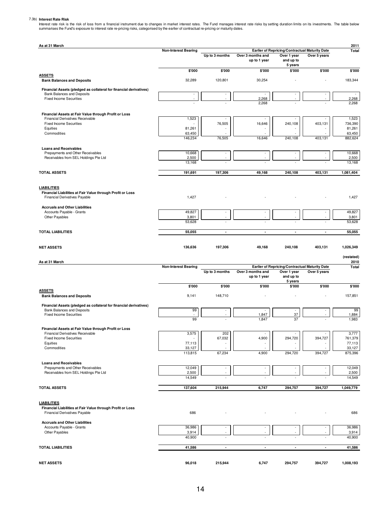7.3b) Interest Rate Risk<br>Interest rate risk is the risk of loss from a financial instrument due to changes in market interest rates. The Fund manages interest rate risks by setting duration limits on its investments. The t

| As at 31 March                                                                              | <b>Non-Interest Bearing</b> |                          |                                   | Earlier of Repricing/Contractual Maturity Date |                                                | 2011<br>Total            |
|---------------------------------------------------------------------------------------------|-----------------------------|--------------------------|-----------------------------------|------------------------------------------------|------------------------------------------------|--------------------------|
|                                                                                             |                             | Up to 3 months           | Over 3 months and<br>up to 1 year | Over 1 year<br>and up to<br>5 years            | Over 5 years                                   |                          |
|                                                                                             | \$'000                      | \$'000                   | \$'000                            | \$'000                                         | \$'000                                         | \$'000                   |
| <b>ASSETS</b><br><b>Bank Balances and Deposits</b>                                          | 32,289                      | 120,801                  | 30,254                            |                                                |                                                | 183,344                  |
| Financial Assets (pledged as collateral for financial derivatives)                          |                             |                          |                                   |                                                |                                                |                          |
| <b>Bank Balances and Deposits</b>                                                           | $\sim$<br>×.                |                          |                                   | $\overline{\phantom{a}}$<br>÷                  |                                                | $\overline{\phantom{a}}$ |
| <b>Fixed Income Securities</b>                                                              |                             |                          | 2,268<br>2,268                    |                                                |                                                | 2,268<br>2,268           |
| Financial Assets at Fair Value through Profit or Loss                                       |                             |                          |                                   |                                                |                                                |                          |
| Financial Derivatives Receivable<br><b>Fixed Income Securities</b>                          | 1,523                       | ÷,<br>76,505             |                                   | 240,108                                        | 403,131                                        | 1,523<br>736,390         |
| Equities                                                                                    | 81,261                      |                          | 16,646                            |                                                |                                                | 81,261                   |
| Commodities                                                                                 | 63,450<br>146,234           | 76,505                   | 16,646                            | 240,108                                        | 403,131                                        | 63,450<br>882,624        |
|                                                                                             |                             |                          |                                   |                                                |                                                |                          |
| <b>Loans and Receivables</b><br>Prepayments and Other Receivables                           | 10,668                      | ٠                        | $\sim$                            | $\overline{\phantom{a}}$                       | $\overline{\phantom{a}}$                       | 10,668                   |
| Receivables from SEL Holdings Pte Ltd                                                       | 2,500                       |                          |                                   |                                                |                                                | 2,500                    |
|                                                                                             | 13,168                      |                          |                                   |                                                |                                                | 13,168                   |
| <b>TOTAL ASSETS</b>                                                                         | 191,691                     | 197,306                  | 49,168                            | 240,108                                        | 403,131                                        | 1,081,404                |
|                                                                                             |                             |                          |                                   |                                                |                                                |                          |
| <b>LIABILITIES</b><br>Financial Liabilities at Fair Value through Profit or Loss            |                             |                          |                                   |                                                |                                                |                          |
| Financial Derivatives Payable                                                               | 1,427                       |                          |                                   |                                                |                                                | 1,427                    |
| <b>Accruals and Other Liabilities</b>                                                       |                             |                          |                                   |                                                |                                                |                          |
| Accounts Payable - Grants<br>Other Payables                                                 | 49,827<br>3,801             | $\overline{\phantom{a}}$ | $\sim$                            | $\sim$                                         | $\sim$                                         | 49,827<br>3,801          |
|                                                                                             | 53,628                      |                          |                                   |                                                |                                                | 53,628                   |
| <b>TOTAL LIABILITIES</b>                                                                    | 55,055                      | $\blacksquare$           | $\overline{\phantom{a}}$          | $\overline{\phantom{a}}$                       | $\overline{\phantom{a}}$                       | 55,055                   |
|                                                                                             |                             |                          |                                   |                                                |                                                |                          |
| <b>NET ASSETS</b>                                                                           | 136,636                     | 197,306                  | 49,168                            | 240,108                                        | 403,131                                        | 1,026,349                |
|                                                                                             |                             |                          |                                   |                                                |                                                | (restated)               |
| As at 31 March                                                                              | <b>Non-Interest Bearing</b> |                          |                                   |                                                |                                                | 2010<br><b>Total</b>     |
|                                                                                             |                             |                          |                                   |                                                | Earlier of Repricing/Contractual Maturity Date |                          |
|                                                                                             |                             | Up to 3 months           | Over 3 months and                 | Over 1 year                                    | Over 5 years                                   |                          |
|                                                                                             |                             |                          | up to 1 year                      | and up to<br>5 years                           |                                                |                          |
|                                                                                             | \$'000                      | \$'000                   | \$'000                            | \$'000                                         | \$'000                                         |                          |
| <b>ASSETS</b><br><b>Bank Balances and Deposits</b>                                          | 9,141                       | 148,710                  |                                   |                                                |                                                | 157,851                  |
| Financial Assets (pledged as collateral for financial derivatives)                          |                             |                          |                                   |                                                |                                                |                          |
| Bank Balances and Deposits                                                                  | 99                          |                          |                                   | $\overline{\phantom{a}}$                       |                                                | \$'000<br>99             |
| <b>Fixed Income Securities</b>                                                              | 99                          |                          | 1,847<br>1,847                    | 37<br>37                                       |                                                | 1,884<br>1,983           |
| Financial Assets at Fair Value through Profit or Loss                                       |                             |                          |                                   |                                                |                                                |                          |
| Financial Derivatives Receivable                                                            | 3,575                       | 202                      |                                   |                                                |                                                | 3,777                    |
| <b>Fixed Income Securities</b><br>Equities                                                  | 77,113                      | 67,032                   | 4,900                             | 294,720                                        | 394,727                                        | 761,379<br>77,113        |
| Commodities                                                                                 | 33,127                      |                          |                                   |                                                |                                                | 33,127                   |
|                                                                                             | 113,815                     | 67,234                   | 4,900                             | 294,720                                        | 394,727                                        | 875,396                  |
| <b>Loans and Receivables</b>                                                                |                             |                          |                                   |                                                |                                                |                          |
| Prepayments and Other Receivables<br>Receivables from SEL Holdings Pte Ltd                  | 12,049<br>2,500             |                          |                                   | $\sim$                                         |                                                | 12,049<br>2,500          |
|                                                                                             | 14,549                      |                          |                                   |                                                |                                                | 14,549                   |
| <b>TOTAL ASSETS</b>                                                                         | 137,604                     | 215,944                  | 6,747                             | 294,757                                        | 394,727                                        | 1,049,779                |
|                                                                                             |                             |                          |                                   |                                                |                                                |                          |
| <b>LIABILITIES</b>                                                                          |                             |                          |                                   |                                                |                                                |                          |
| Financial Liabilities at Fair Value through Profit or Loss<br>Financial Derivatives Payable | 686                         |                          |                                   |                                                |                                                | 686                      |
| <b>Accruals and Other Liabilities</b>                                                       |                             |                          |                                   |                                                |                                                |                          |
| Accounts Payable - Grants                                                                   | 36,986                      | $\overline{\phantom{a}}$ | $\overline{\phantom{a}}$          | $\overline{\phantom{a}}$                       | $\sim$                                         | 36,986                   |
| Other Payables                                                                              | 3,914                       |                          |                                   | $\overline{\phantom{a}}$                       |                                                | 3,914                    |
|                                                                                             | 40,900                      |                          |                                   |                                                |                                                | 40,900                   |
| <b>TOTAL LIABILITIES</b>                                                                    | 41,586                      | $\blacksquare$           | $\overline{\phantom{a}}$          | $\overline{\phantom{a}}$                       | $\blacksquare$                                 | 41,586                   |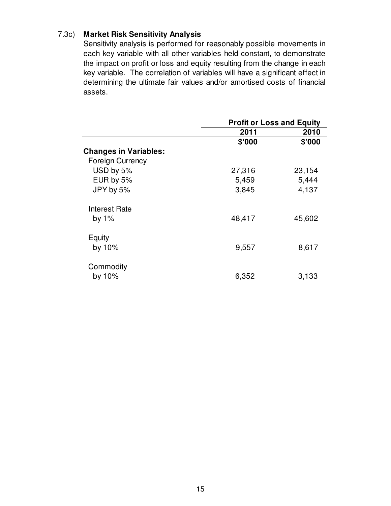## 7.3c) **Market Risk Sensitivity Analysis**

Sensitivity analysis is performed for reasonably possible movements in each key variable with all other variables held constant, to demonstrate the impact on profit or loss and equity resulting from the change in each key variable. The correlation of variables will have a significant effect in determining the ultimate fair values and/or amortised costs of financial assets.

|                              | <b>Profit or Loss and Equity</b> |        |  |
|------------------------------|----------------------------------|--------|--|
|                              | 2011                             | 2010   |  |
|                              | \$'000                           | \$'000 |  |
| <b>Changes in Variables:</b> |                                  |        |  |
| <b>Foreign Currency</b>      |                                  |        |  |
| USD by 5%                    | 27,316                           | 23,154 |  |
| EUR by 5%                    | 5,459                            | 5,444  |  |
| JPY by 5%                    | 3,845                            | 4,137  |  |
| <b>Interest Rate</b>         |                                  |        |  |
| by $1\%$                     | 48,417                           | 45,602 |  |
| Equity                       |                                  |        |  |
| by 10%                       | 9,557                            | 8,617  |  |
| Commodity                    |                                  |        |  |
| by $10\%$                    | 6,352                            | 3,133  |  |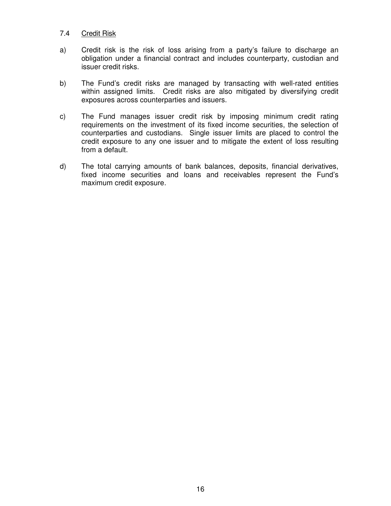#### 7.4 Credit Risk

- a) Credit risk is the risk of loss arising from a party's failure to discharge an obligation under a financial contract and includes counterparty, custodian and issuer credit risks.
- b) The Fund's credit risks are managed by transacting with well-rated entities within assigned limits. Credit risks are also mitigated by diversifying credit exposures across counterparties and issuers.
- c) The Fund manages issuer credit risk by imposing minimum credit rating requirements on the investment of its fixed income securities, the selection of counterparties and custodians. Single issuer limits are placed to control the credit exposure to any one issuer and to mitigate the extent of loss resulting from a default.
- d) The total carrying amounts of bank balances, deposits, financial derivatives, fixed income securities and loans and receivables represent the Fund's maximum credit exposure.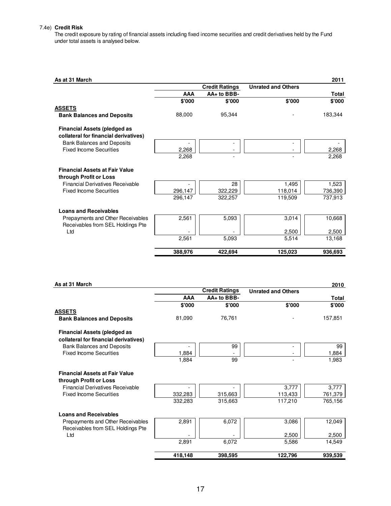#### 7.4e) **Credit Risk**

The credit exposure by rating of financial assets including fixed income securities and credit derivatives held by the Fund under total assets is analysed below.

| As at 31 March                                                               |            |                       |                           | 2011    |
|------------------------------------------------------------------------------|------------|-----------------------|---------------------------|---------|
|                                                                              |            | <b>Credit Ratings</b> | <b>Unrated and Others</b> |         |
|                                                                              | <b>AAA</b> | AA+ to BBB-           |                           | Total   |
|                                                                              | \$'000     | \$'000                | \$'000                    | \$'000  |
| <b>ASSETS</b>                                                                |            |                       |                           |         |
| <b>Bank Balances and Deposits</b>                                            | 88,000     | 95,344                |                           | 183,344 |
| <b>Financial Assets (pledged as</b><br>collateral for financial derivatives) |            |                       |                           |         |
| <b>Bank Balances and Deposits</b>                                            |            |                       |                           |         |
| <b>Fixed Income Securities</b>                                               | 2,268      |                       |                           | 2,268   |
|                                                                              | 2,268      | ۰                     |                           | 2,268   |
| <b>Financial Assets at Fair Value</b>                                        |            |                       |                           |         |
| through Profit or Loss                                                       |            |                       |                           |         |
| <b>Financial Derivatives Receivable</b>                                      |            | 28                    | 1,495                     | 1,523   |
| <b>Fixed Income Securities</b>                                               | 296,147    | 322,229               | 118,014                   | 736,390 |
|                                                                              | 296,147    | 322,257               | 119,509                   | 737,913 |
| <b>Loans and Receivables</b>                                                 |            |                       |                           |         |
| Prepayments and Other Receivables<br>Receivables from SEL Holdings Pte       | 2,561      | 5,093                 | 3,014                     | 10,668  |
| Ltd                                                                          |            |                       | 2,500                     | 2,500   |
|                                                                              | 2,561      | 5.093                 | 5,514                     | 13,168  |
|                                                                              | 388.976    | 422,694               | 125,023                   | 936,693 |

|  | As at 31 March |
|--|----------------|
|  |                |

| As at 31 March                                                               |            |                       |                           | 2010         |
|------------------------------------------------------------------------------|------------|-----------------------|---------------------------|--------------|
|                                                                              |            | <b>Credit Ratings</b> | <b>Unrated and Others</b> |              |
|                                                                              | <b>AAA</b> | AA+ to BBB-           |                           | <b>Total</b> |
|                                                                              | \$'000     | \$'000                | \$'000                    | \$'000       |
| <b>ASSETS</b>                                                                |            |                       |                           |              |
| <b>Bank Balances and Deposits</b>                                            | 81,090     | 76,761                |                           | 157,851      |
| <b>Financial Assets (pledged as</b><br>collateral for financial derivatives) |            |                       |                           |              |
| <b>Bank Balances and Deposits</b>                                            |            | 99                    |                           | 99           |
| <b>Fixed Income Securities</b>                                               | 1,884      |                       |                           | 1,884        |
|                                                                              | 1,884      | 99                    |                           | 1,983        |
| <b>Financial Assets at Fair Value</b><br>through Profit or Loss              |            |                       |                           |              |
| <b>Financial Derivatives Receivable</b>                                      |            |                       | 3,777                     | 3,777        |
| <b>Fixed Income Securities</b>                                               | 332,283    | 315,663               | 113,433                   | 761,379      |
|                                                                              | 332,283    | 315,663               | 117,210                   | 765,156      |
| <b>Loans and Receivables</b>                                                 |            |                       |                           |              |
| Prepayments and Other Receivables<br>Receivables from SEL Holdings Pte       | 2,891      | 6,072                 | 3,086                     | 12,049       |
| Ltd                                                                          |            |                       | 2,500                     | 2,500        |
|                                                                              | 2,891      | 6,072                 | 5,586                     | 14,549       |
|                                                                              | 418,148    | 398,595               | 122,796                   | 939,539      |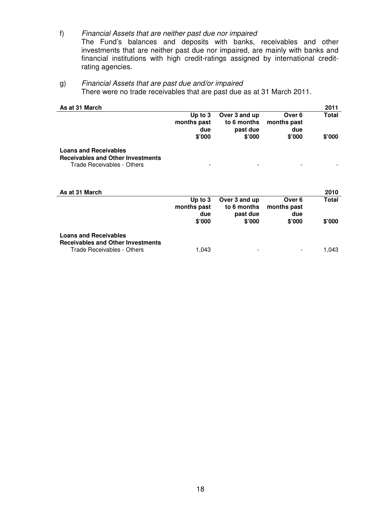- f) Financial Assets that are neither past due nor impaired The Fund's balances and deposits with banks, receivables and other investments that are neither past due nor impaired, are mainly with banks and financial institutions with high credit-ratings assigned by international creditrating agencies.
- g) Financial Assets that are past due and/or impaired There were no trade receivables that are past due as at 31 March 2011.

| As at 31 March                           |             |               |             | 2011           |
|------------------------------------------|-------------|---------------|-------------|----------------|
|                                          | Up to $3$   | Over 3 and up | Over 6      | Total          |
|                                          | months past | to 6 months   | months past |                |
|                                          | due         | past due      | due         |                |
|                                          | \$'000      | \$'000        | \$'000      | $$^{\circ}000$ |
| <b>Loans and Receivables</b>             |             |               |             |                |
| <b>Receivables and Other Investments</b> |             |               |             |                |
| Trade Receivables - Others               |             |               |             |                |
|                                          |             |               |             |                |
|                                          |             |               |             |                |
| As at 31 March                           |             |               |             | 2010           |
|                                          | Up to $3$   | Over 3 and up | Over 6      | Total          |
|                                          | months past | to 6 months   | months past |                |
|                                          | due         | past due      | due         |                |
|                                          | \$'000      | \$'000        | \$'000      | \$'000         |
|                                          |             |               |             |                |
| <b>Loans and Receivables</b>             |             |               |             |                |
| <b>Receivables and Other Investments</b> |             |               |             |                |
| Trade Receivables - Others               | 1,043       |               |             | 1,043          |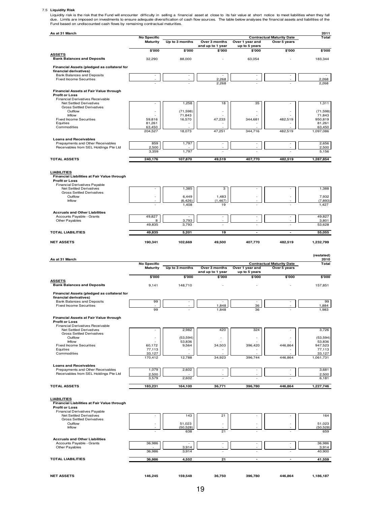7.5 Liquidity Risk<br>Liquidity risk is the risk that the Fund will encounter difficulty in selling a financial asset at close to its fair value at short notice to meet liabilities when they fall<br>due. Limits are imposed on in

| As at 31 March                                                             |                                |                     |                                   |                                  |                                                  | 2011                |
|----------------------------------------------------------------------------|--------------------------------|---------------------|-----------------------------------|----------------------------------|--------------------------------------------------|---------------------|
|                                                                            | No Specific<br><b>Maturity</b> | Up to 3 months      | Over 3 months                     | Over 1 year and                  | <b>Contractual Maturity Date</b><br>Over 5 years | Total               |
|                                                                            |                                |                     | and up to 1 year                  | up to 5 years                    |                                                  |                     |
| <b>ASSETS</b>                                                              | \$'000                         | \$'000              | \$'000                            | \$'000                           | \$'000                                           | \$'000              |
| <b>Bank Balances and Deposits</b>                                          | 32,290                         | 88,000              |                                   | 63,054                           |                                                  | 183,344             |
| Financial Assets (pledged as collateral for                                |                                |                     |                                   |                                  |                                                  |                     |
| financial derivatives)<br><b>Bank Balances and Deposits</b>                |                                |                     |                                   |                                  |                                                  |                     |
| <b>Fixed Income Securities</b>                                             |                                |                     | 2,268                             |                                  |                                                  | 2,268               |
|                                                                            |                                |                     | 2,268                             |                                  |                                                  | 2,268               |
| Financial Assets at Fair Value through<br><b>Profit or Loss</b>            |                                |                     |                                   |                                  |                                                  |                     |
| Financial Derivatives Receivable                                           |                                |                     |                                   |                                  |                                                  |                     |
| Net Settled Derivatives<br><b>Gross Settled Derivatives</b>                |                                | 1,258               | 18                                | 35                               |                                                  | 1,311               |
| Outflow<br>Inflow                                                          |                                | (71, 598)<br>71.843 |                                   |                                  |                                                  | (71, 598)<br>71.843 |
| <b>Fixed Income Securities</b>                                             | 59,816                         | 16,570              | 47,233                            | 344,681                          | 482.519                                          | 950,819             |
| Equities<br>Commodities                                                    | 81,261<br>63,450               |                     |                                   |                                  |                                                  | 81,261<br>63,450    |
|                                                                            | 204,527                        | 18,073              | 47,251                            | 344,716                          | 482,519                                          | 1,097,086           |
| <b>Loans and Receivables</b>                                               |                                |                     |                                   |                                  |                                                  |                     |
| Prepayments and Other Receivables<br>Receivables from SEL Holdings Pte Ltd | 859<br>2,500                   | 1,797               |                                   |                                  |                                                  | 2,656<br>2,500      |
|                                                                            | 3,359                          | 1,797               |                                   |                                  |                                                  | 5,156               |
| <b>TOTAL ASSETS</b>                                                        | 240,176                        | 107.870             | 49,519                            | 407,770                          | 482,519                                          | 1,287,854           |
|                                                                            |                                |                     |                                   |                                  |                                                  |                     |
| <b>LIABILITIES</b>                                                         |                                |                     |                                   |                                  |                                                  |                     |
| Financial Liabilities at Fair Value through<br><b>Profit or Loss</b>       |                                |                     |                                   |                                  |                                                  |                     |
| Financial Derivatives Payable<br>Net Settled Derivatives                   |                                |                     |                                   |                                  |                                                  |                     |
| <b>Gross Settled Derivatives</b>                                           |                                | 1,385               | 3                                 |                                  |                                                  | 1,388               |
| Outflow<br>Inflow                                                          |                                | 6,449<br>(6, 426)   | 1,483<br>(1, 467)                 |                                  |                                                  | 7.932<br>(7,893)    |
|                                                                            |                                | 1,408               | 19                                |                                  |                                                  | 1,427               |
| <b>Accruals and Other Liabilities</b>                                      |                                |                     |                                   |                                  |                                                  |                     |
| Accounts Payable - Grants<br>Other Payables                                | 49,827<br>8                    | ÷<br>3,793          | $\overline{\phantom{a}}$          | $\overline{\phantom{a}}$         | $\sim$                                           | 49,827<br>3,801     |
|                                                                            | 49,835                         | 3,793               |                                   |                                  |                                                  | 53,628              |
| <b>TOTAL LIABILITIES</b>                                                   | 49,835                         | 5,201               | 19                                | $\overline{a}$                   | $\overline{a}$                                   | 55,055              |
|                                                                            |                                |                     |                                   |                                  |                                                  |                     |
|                                                                            |                                |                     |                                   |                                  |                                                  |                     |
| <b>NET ASSETS</b>                                                          | 190,341                        | 102,669             | 49,500                            | 407,770                          | 482,519                                          | 1,232,799           |
|                                                                            |                                |                     |                                   |                                  |                                                  |                     |
| As at 31 March                                                             |                                |                     |                                   |                                  |                                                  | (restated)<br>2010  |
|                                                                            | No Specific                    |                     |                                   |                                  | <b>Contractual Maturity Date</b>                 | Total               |
|                                                                            | <b>Maturity</b>                | Up to 3 months      | Over 3 months<br>and up to 1 year | Over 1 year and<br>up to 5 years | Over 5 years                                     |                     |
|                                                                            | \$'000                         | \$'000              | \$'000                            | \$'000                           | \$'000                                           | \$'000              |
| <b>ASSETS</b><br><b>Bank Balances and Deposits</b>                         | 9,141                          | 148,710             | $\overline{\phantom{a}}$          |                                  |                                                  | 157,851             |
| Financial Assets (pledged as collateral for                                |                                |                     |                                   |                                  |                                                  |                     |
| financial derivatives)                                                     |                                |                     |                                   |                                  |                                                  |                     |
| <b>Bank Balances and Deposits</b><br><b>Fixed Income Securities</b>        | 99                             |                     | 1,848                             | 36                               |                                                  | 99<br>1,884         |
|                                                                            | 99                             |                     | 1,848                             | 36                               |                                                  | 1,983               |
| Financial Assets at Fair Value through                                     |                                |                     |                                   |                                  |                                                  |                     |
| <b>Profit or Loss</b><br>Financial Derivatives Receivable                  |                                |                     |                                   |                                  |                                                  |                     |
| Net Settled Derivatives                                                    |                                | 2,982               | 420                               | 324                              |                                                  | 3,726               |
| <b>Gross Settled Derivatives</b><br>Outflow                                |                                | (53, 594)           |                                   |                                  |                                                  | (53, 594)           |
| Inflow<br><b>Fixed Income Securities</b>                                   | 60,172                         | 53,836<br>9,564     | 34,503                            | 396,420                          | 446,864                                          | 53,836<br>947,523   |
| Equities                                                                   | 77,113                         |                     |                                   |                                  |                                                  | 77,113              |
| Commodities                                                                | 33,127<br>170,412              | 12,788              | 34.923                            | 396,744                          | 446,864                                          | 33,127<br>1,061,731 |
| <b>Loans and Receivables</b>                                               |                                |                     |                                   |                                  |                                                  |                     |
| Prepayments and Other Receivables                                          | 1,079                          | 2,602               |                                   |                                  |                                                  | 3,681               |
| Receivables from SEL Holdings Pte Ltd                                      | 2,500<br>3,579                 | 2,602               |                                   |                                  |                                                  | 2,500<br>6,181      |
|                                                                            |                                |                     |                                   |                                  |                                                  |                     |
| <b>TOTAL ASSETS</b>                                                        | 183,231                        | 164,100             | 36,771                            | 396,780                          | 446,864                                          | 1,227,746           |
|                                                                            |                                |                     |                                   |                                  |                                                  |                     |
| <b>LIABILITIES</b><br>Financial Liabilities at Fair Value through          |                                |                     |                                   |                                  |                                                  |                     |
| <b>Profit or Loss</b>                                                      |                                |                     |                                   |                                  |                                                  |                     |
| Financial Derivatives Payable<br>Net Settled Derivatives                   |                                | 143                 | 21                                |                                  |                                                  | 164                 |
| <b>Gross Settled Derivatives</b><br>Outflow                                |                                | 51,023              |                                   |                                  |                                                  | 51,023              |
| Inflow                                                                     |                                | (50, 528)<br>638    | 21                                |                                  | ÷                                                | (50, 528)<br>659    |
|                                                                            |                                |                     |                                   |                                  |                                                  |                     |
| <b>Accruals and Other Liabilities</b><br>Accounts Payable - Grants         | 36,986                         |                     |                                   |                                  |                                                  | 36,986              |
| Other Payables                                                             |                                | 3,914               | ÷                                 |                                  | ÷                                                | 3,914               |
| <b>TOTAL LIABILITIES</b>                                                   | 36,986<br>36,986               | 3,914<br>4,552      | 21                                | ٠                                | $\overline{a}$                                   | 40,900<br>41,559    |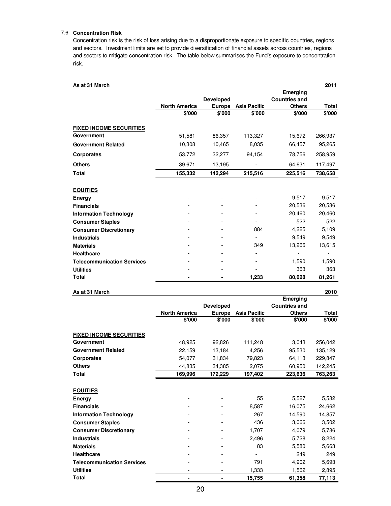#### 7.6 **Concentration Risk**

Concentration risk is the risk of loss arising due to a disproportionate exposure to specific countries, regions and sectors. Investment limits are set to provide diversification of financial assets across countries, regions and sectors to mitigate concentration risk. The table below summarises the Fund's exposure to concentration risk.

| As at 31 March                    |                      |                  |                     |                      | 2011    |
|-----------------------------------|----------------------|------------------|---------------------|----------------------|---------|
|                                   |                      |                  |                     | Emerging             |         |
|                                   |                      | <b>Developed</b> |                     | <b>Countries and</b> |         |
|                                   | <b>North America</b> | <b>Europe</b>    | <b>Asia Pacific</b> | <b>Others</b>        | Total   |
|                                   | \$'000               | \$'000           | \$'000              | \$'000               | \$'000  |
| <b>FIXED INCOME SECURITIES</b>    |                      |                  |                     |                      |         |
| Government                        | 51,581               | 86,357           | 113,327             | 15,672               | 266,937 |
| <b>Government Related</b>         | 10,308               | 10,465           | 8,035               | 66,457               | 95,265  |
| <b>Corporates</b>                 | 53,772               | 32,277           | 94,154              | 78,756               | 258,959 |
| <b>Others</b>                     | 39,671               | 13,195           |                     | 64,631               | 117,497 |
| <b>Total</b>                      | 155,332              | 142,294          | 215,516             | 225,516              | 738,658 |
|                                   |                      |                  |                     |                      |         |
| <b>EQUITIES</b>                   |                      |                  |                     |                      |         |
| Energy                            |                      |                  |                     | 9,517                | 9,517   |
| <b>Financials</b>                 |                      |                  |                     | 20,536               | 20,536  |
| <b>Information Technology</b>     |                      |                  |                     | 20,460               | 20,460  |
| <b>Consumer Staples</b>           |                      |                  |                     | 522                  | 522     |
| <b>Consumer Discretionary</b>     |                      |                  | 884                 | 4,225                | 5,109   |
| <b>Industrials</b>                |                      |                  |                     | 9,549                | 9,549   |
| <b>Materials</b>                  |                      |                  | 349                 | 13,266               | 13,615  |
| <b>Healthcare</b>                 |                      |                  |                     |                      |         |
| <b>Telecommunication Services</b> |                      |                  |                     | 1,590                | 1,590   |
| <b>Utilities</b>                  |                      |                  |                     | 363                  | 363     |
| <b>Total</b>                      | ٠                    | ۰                | 1,233               | 80,028               | 81,261  |
|                                   |                      |                  |                     |                      |         |

| As at 31 March                    |                      |                          |                     |                      | 2010    |
|-----------------------------------|----------------------|--------------------------|---------------------|----------------------|---------|
|                                   |                      |                          |                     | Emerging             |         |
|                                   |                      | <b>Developed</b>         |                     | <b>Countries and</b> |         |
|                                   | <b>North America</b> | <b>Europe</b>            | <b>Asia Pacific</b> | <b>Others</b>        | Total   |
|                                   | \$'000               | \$'000                   | \$'000              | \$'000               | \$'000  |
| <b>FIXED INCOME SECURITIES</b>    |                      |                          |                     |                      |         |
| Government                        | 48,925               | 92,826                   | 111,248             | 3,043                | 256,042 |
| <b>Government Related</b>         | 22,159               | 13,184                   | 4,256               | 95,530               | 135,129 |
| <b>Corporates</b>                 | 54.077               | 31,834                   | 79.823              | 64,113               | 229,847 |
| <b>Others</b>                     | 44,835               | 34.385                   | 2.075               | 60,950               | 142,245 |
| <b>Total</b>                      | 169,996              | 172,229                  | 197,402             | 223,636              | 763,263 |
|                                   |                      |                          |                     |                      |         |
| <b>EQUITIES</b>                   |                      |                          |                     |                      |         |
| Energy                            |                      |                          | 55                  | 5,527                | 5,582   |
| <b>Financials</b>                 |                      |                          | 8,587               | 16,075               | 24,662  |
| <b>Information Technology</b>     |                      |                          | 267                 | 14,590               | 14,857  |
| <b>Consumer Staples</b>           |                      |                          | 436                 | 3,066                | 3,502   |
| <b>Consumer Discretionary</b>     |                      |                          | 1,707               | 4,079                | 5,786   |
| <b>Industrials</b>                |                      |                          | 2,496               | 5,728                | 8,224   |
| <b>Materials</b>                  |                      | $\overline{\phantom{0}}$ | 83                  | 5,580                | 5,663   |
| <b>Healthcare</b>                 |                      | -                        |                     | 249                  | 249     |
| <b>Telecommunication Services</b> |                      |                          | 791                 | 4,902                | 5,693   |
| <b>Utilities</b>                  |                      | $\overline{\phantom{0}}$ | 1,333               | 1,562                | 2,895   |
| <b>Total</b>                      | ۰                    | ۰                        | 15,755              | 61,358               | 77,113  |

20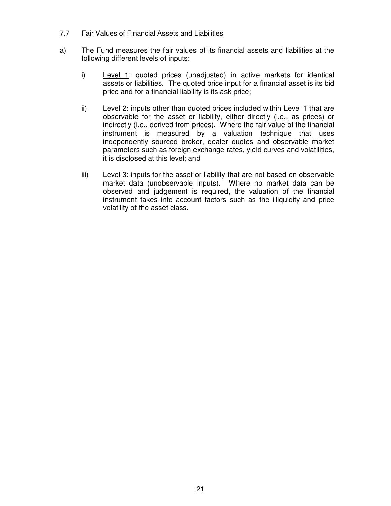### 7.7 Fair Values of Financial Assets and Liabilities

- a) The Fund measures the fair values of its financial assets and liabilities at the following different levels of inputs:
	- i) Level 1: quoted prices (unadjusted) in active markets for identical assets or liabilities. The quoted price input for a financial asset is its bid price and for a financial liability is its ask price;
	- ii) Level 2: inputs other than quoted prices included within Level 1 that are observable for the asset or liability, either directly (i.e., as prices) or indirectly (i.e., derived from prices). Where the fair value of the financial instrument is measured by a valuation technique that uses independently sourced broker, dealer quotes and observable market parameters such as foreign exchange rates, yield curves and volatilities, it is disclosed at this level; and
	- iii) Level  $3$ : inputs for the asset or liability that are not based on observable market data (unobservable inputs). Where no market data can be observed and judgement is required, the valuation of the financial instrument takes into account factors such as the illiquidity and price volatility of the asset class.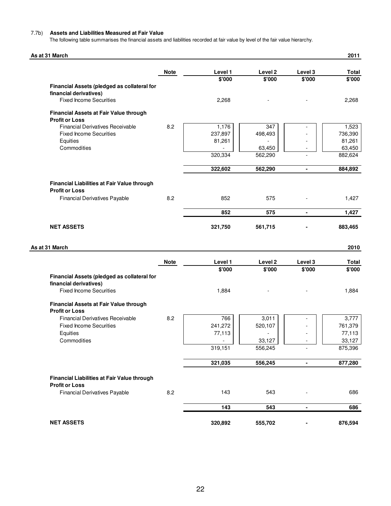#### 7.7b) **Assets and Liabilities Measured at Fair Value**

The following table summarises the financial assets and liabilities recorded at fair value by level of the fair value hierarchy.

| As at 31 March                                                |             |                   |                              |                   | 2011            |
|---------------------------------------------------------------|-------------|-------------------|------------------------------|-------------------|-----------------|
|                                                               | <b>Note</b> | Level 1           | Level 2                      | Level 3           | Total           |
|                                                               |             | \$'000            | \$'000                       | \$'000            | \$'000          |
| Financial Assets (pledged as collateral for                   |             |                   |                              |                   |                 |
| financial derivatives)                                        |             |                   |                              |                   |                 |
| <b>Fixed Income Securities</b>                                |             | 2,268             |                              |                   | 2,268           |
| Financial Assets at Fair Value through                        |             |                   |                              |                   |                 |
| <b>Profit or Loss</b>                                         |             |                   |                              |                   |                 |
| <b>Financial Derivatives Receivable</b>                       | 8.2         | 1,176             | 347                          |                   | 1,523           |
| <b>Fixed Income Securities</b>                                |             | 237,897           | 498,493                      |                   | 736,390         |
| Equities                                                      |             | 81,261            |                              |                   | 81,261          |
| Commodities                                                   |             |                   | 63,450                       |                   | 63,450          |
|                                                               |             | 320,334           | 562,290                      |                   | 882,624         |
|                                                               |             | 322,602           | 562,290                      |                   | 884,892         |
|                                                               |             |                   |                              |                   |                 |
| Financial Liabilities at Fair Value through                   |             |                   |                              |                   |                 |
| <b>Profit or Loss</b><br><b>Financial Derivatives Payable</b> | 8.2         | 852               | 575                          |                   | 1,427           |
|                                                               |             |                   |                              |                   |                 |
|                                                               |             | 852               | 575                          | $\blacksquare$    | 1,427           |
| <b>NET ASSETS</b>                                             |             | 321,750           | 561,715                      |                   | 883,465         |
| As at 31 March                                                |             |                   |                              |                   | 2010            |
|                                                               |             |                   |                              |                   |                 |
|                                                               | <b>Note</b> | Level 1<br>\$'000 | Level <sub>2</sub><br>\$'000 | Level 3<br>\$'000 | Total<br>\$'000 |
| Financial Assets (pledged as collateral for                   |             |                   |                              |                   |                 |
| financial derivatives)                                        |             |                   |                              |                   |                 |
| <b>Fixed Income Securities</b>                                |             | 1,884             |                              |                   | 1,884           |
|                                                               |             |                   |                              |                   |                 |
| Financial Assets at Fair Value through                        |             |                   |                              |                   |                 |
| <b>Profit or Loss</b>                                         |             |                   |                              |                   |                 |
| <b>Financial Derivatives Receivable</b>                       | 8.2         | 766               | 3,011                        |                   | 3,777           |
| <b>Fixed Income Securities</b>                                |             | 241,272           | 520,107                      |                   | 761,379         |
| Equities                                                      |             | 77,113            | ٠                            |                   | 77,113          |
| Commodities                                                   |             |                   | 33,127                       |                   | 33,127          |
|                                                               |             | 319,151           | 556,245                      |                   | 875,396         |
|                                                               |             | 321,035           | 556,245                      | $\blacksquare$    | 877,280         |
|                                                               |             |                   |                              |                   |                 |
| Financial Liabilities at Fair Value through                   |             |                   |                              |                   |                 |
| <b>Profit or Loss</b>                                         |             |                   |                              |                   |                 |
| <b>Financial Derivatives Payable</b>                          | 8.2         | 143               | 543                          |                   | 686             |
|                                                               |             | 143               | 543                          | $\blacksquare$    | 686             |
|                                                               |             |                   |                              |                   |                 |
| <b>NET ASSETS</b>                                             |             | 320,892           | 555,702                      |                   | 876,594         |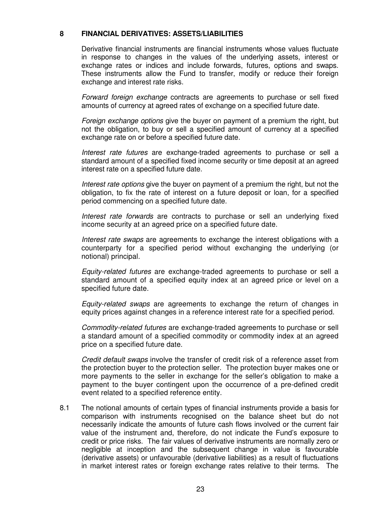#### **8 FINANCIAL DERIVATIVES: ASSETS/LIABILITIES**

Derivative financial instruments are financial instruments whose values fluctuate in response to changes in the values of the underlying assets, interest or exchange rates or indices and include forwards, futures, options and swaps. These instruments allow the Fund to transfer, modify or reduce their foreign exchange and interest rate risks.

Forward foreign exchange contracts are agreements to purchase or sell fixed amounts of currency at agreed rates of exchange on a specified future date.

Foreign exchange options give the buyer on payment of a premium the right, but not the obligation, to buy or sell a specified amount of currency at a specified exchange rate on or before a specified future date.

Interest rate futures are exchange-traded agreements to purchase or sell a standard amount of a specified fixed income security or time deposit at an agreed interest rate on a specified future date.

Interest rate options give the buyer on payment of a premium the right, but not the obligation, to fix the rate of interest on a future deposit or loan, for a specified period commencing on a specified future date.

Interest rate forwards are contracts to purchase or sell an underlying fixed income security at an agreed price on a specified future date.

 Interest rate swaps are agreements to exchange the interest obligations with a counterparty for a specified period without exchanging the underlying (or notional) principal.

Equity-related futures are exchange-traded agreements to purchase or sell a standard amount of a specified equity index at an agreed price or level on a specified future date.

Equity-related swaps are agreements to exchange the return of changes in equity prices against changes in a reference interest rate for a specified period.

Commodity-related futures are exchange-traded agreements to purchase or sell a standard amount of a specified commodity or commodity index at an agreed price on a specified future date.

Credit default swaps involve the transfer of credit risk of a reference asset from the protection buyer to the protection seller. The protection buyer makes one or more payments to the seller in exchange for the seller's obligation to make a payment to the buyer contingent upon the occurrence of a pre-defined credit event related to a specified reference entity.

8.1 The notional amounts of certain types of financial instruments provide a basis for comparison with instruments recognised on the balance sheet but do not necessarily indicate the amounts of future cash flows involved or the current fair value of the instrument and, therefore, do not indicate the Fund's exposure to credit or price risks. The fair values of derivative instruments are normally zero or negligible at inception and the subsequent change in value is favourable (derivative assets) or unfavourable (derivative liabilities) as a result of fluctuations in market interest rates or foreign exchange rates relative to their terms. The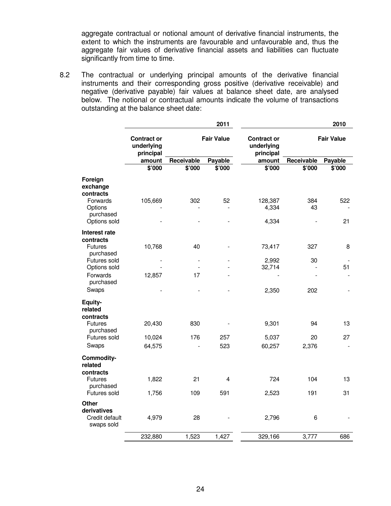aggregate contractual or notional amount of derivative financial instruments, the extent to which the instruments are favourable and unfavourable and, thus the aggregate fair values of derivative financial assets and liabilities can fluctuate significantly from time to time.

8.2 The contractual or underlying principal amounts of the derivative financial instruments and their corresponding gross positive (derivative receivable) and negative (derivative payable) fair values at balance sheet date, are analysed below. The notional or contractual amounts indicate the volume of transactions outstanding at the balance sheet date:

|                                                                                      | 2011                                          |                          |         |                                               | 2010       |                   |  |  |
|--------------------------------------------------------------------------------------|-----------------------------------------------|--------------------------|---------|-----------------------------------------------|------------|-------------------|--|--|
|                                                                                      | <b>Contract or</b><br>underlying<br>principal | <b>Fair Value</b>        |         | <b>Contract or</b><br>underlying<br>principal |            | <b>Fair Value</b> |  |  |
|                                                                                      | amount                                        | Receivable               | Payable | amount                                        | Receivable | Payable           |  |  |
|                                                                                      | \$'000                                        | \$'000                   | \$'000  | \$'000                                        | \$'000     | \$'000            |  |  |
| Foreign<br>exchange<br>contracts<br>Forwards<br>Options<br>purchased<br>Options sold | 105,669                                       | 302                      | 52      | 128,387<br>4,334<br>4,334                     | 384<br>43  | 522<br>21         |  |  |
| Interest rate<br>contracts                                                           |                                               |                          |         |                                               |            |                   |  |  |
| <b>Futures</b><br>purchased                                                          | 10,768                                        | 40                       |         | 73,417                                        | 327        | 8                 |  |  |
| Futures sold<br>Options sold                                                         |                                               | $\overline{\phantom{a}}$ |         | 2,992<br>32,714                               | 30         | 51                |  |  |
| Forwards                                                                             | 12,857                                        | 17                       |         |                                               |            |                   |  |  |
| purchased                                                                            |                                               |                          |         |                                               |            |                   |  |  |
| Swaps                                                                                |                                               |                          |         | 2,350                                         | 202        |                   |  |  |
| Equity-<br>related<br>contracts                                                      |                                               |                          |         |                                               |            |                   |  |  |
| <b>Futures</b><br>purchased                                                          | 20,430                                        | 830                      |         | 9,301                                         | 94         | 13                |  |  |
| Futures sold                                                                         | 10,024                                        | 176                      | 257     | 5,037                                         | 20         | 27                |  |  |
| Swaps                                                                                | 64,575                                        |                          | 523     | 60,257                                        | 2,376      |                   |  |  |
| Commodity-<br>related<br>contracts                                                   |                                               |                          |         |                                               |            |                   |  |  |
| <b>Futures</b><br>purchased                                                          | 1,822                                         | 21                       | 4       | 724                                           | 104        | 13                |  |  |
| Futures sold                                                                         | 1,756                                         | 109                      | 591     | 2,523                                         | 191        | 31                |  |  |
| <b>Other</b><br>derivatives<br>Credit default<br>swaps sold                          | 4,979                                         | 28                       |         | 2,796                                         | $\,6$      |                   |  |  |
|                                                                                      | 232,880                                       | 1,523                    | 1,427   | 329,166                                       | 3,777      | 686               |  |  |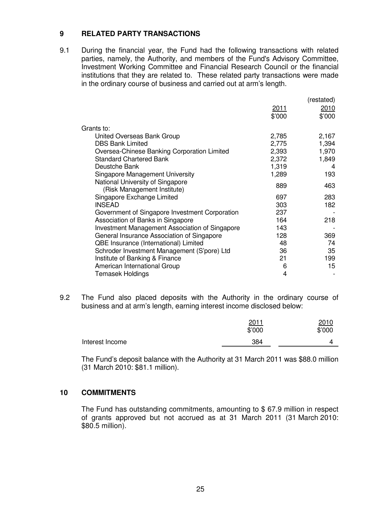### **9 RELATED PARTY TRANSACTIONS**

9.1 During the financial year, the Fund had the following transactions with related parties, namely, the Authority, and members of the Fund's Advisory Committee, Investment Working Committee and Financial Research Council or the financial institutions that they are related to. These related party transactions were made in the ordinary course of business and carried out at arm's length.

|                                                                 |        | (restated) |
|-----------------------------------------------------------------|--------|------------|
|                                                                 | 2011   | 2010       |
|                                                                 | \$'000 | \$'000     |
| Grants to:                                                      |        |            |
| United Overseas Bank Group                                      | 2,785  | 2,167      |
| <b>DBS Bank Limited</b>                                         | 2,775  | 1,394      |
| Oversea-Chinese Banking Corporation Limited                     | 2,393  | 1,970      |
| <b>Standard Chartered Bank</b>                                  | 2,372  | 1,849      |
| Deustche Bank                                                   | 1,319  | 4          |
| Singapore Management University                                 | 1,289  | 193        |
| National University of Singapore<br>(Risk Management Institute) | 889    | 463        |
| Singapore Exchange Limited                                      | 697    | 283        |
| <b>INSEAD</b>                                                   | 303    | 182        |
| Government of Singapore Investment Corporation                  | 237    |            |
| Association of Banks in Singapore                               | 164    | 218        |
| <b>Investment Management Association of Singapore</b>           | 143    |            |
| General Insurance Association of Singapore                      | 128    | 369        |
| QBE Insurance (International) Limited                           | 48     | 74         |
| Schroder Investment Management (S'pore) Ltd                     | 36     | 35         |
| Institute of Banking & Finance                                  | 21     | 199        |
| American International Group                                    | 6      | 15         |
| <b>Temasek Holdings</b>                                         | 4      |            |

9.2 The Fund also placed deposits with the Authority in the ordinary course of business and at arm's length, earning interest income disclosed below:

|                 | 2011<br>\$'000 | 2010<br>\$'000 |
|-----------------|----------------|----------------|
| Interest Income | 384            |                |

 The Fund's deposit balance with the Authority at 31 March 2011 was \$88.0 million (31 March 2010: \$81.1 million).

#### **10 COMMITMENTS**

 The Fund has outstanding commitments, amounting to \$ 67.9 million in respect of grants approved but not accrued as at 31 March 2011 (31 March 2010: \$80.5 million).